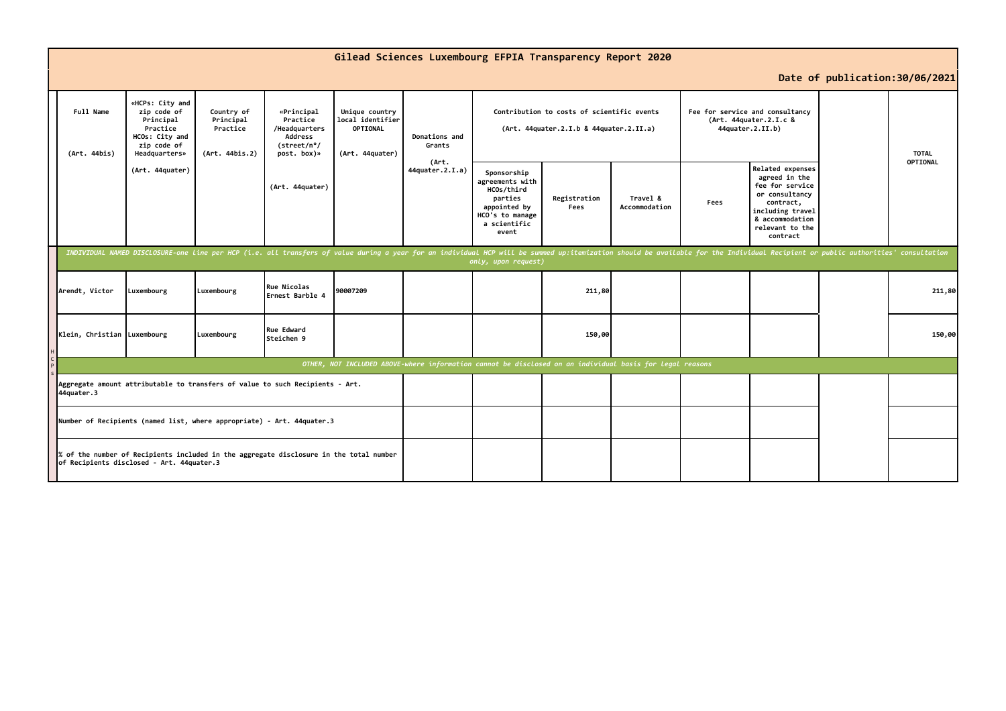|                                                                                                                                     |                                                                                                                                                                                                                                                       |                                                       |                                                                                         |                                                                                                          |                                  | Gilead Sciences Luxembourg EFPIA Transparency Report 2020                                                           |                      |                           |                                                                               |                                                                                                                                                                  |                          |
|-------------------------------------------------------------------------------------------------------------------------------------|-------------------------------------------------------------------------------------------------------------------------------------------------------------------------------------------------------------------------------------------------------|-------------------------------------------------------|-----------------------------------------------------------------------------------------|----------------------------------------------------------------------------------------------------------|----------------------------------|---------------------------------------------------------------------------------------------------------------------|----------------------|---------------------------|-------------------------------------------------------------------------------|------------------------------------------------------------------------------------------------------------------------------------------------------------------|--------------------------|
| Date of publication: 30/06/2021                                                                                                     |                                                                                                                                                                                                                                                       |                                                       |                                                                                         |                                                                                                          |                                  |                                                                                                                     |                      |                           |                                                                               |                                                                                                                                                                  |                          |
| Full Name<br>(Art. 44bis)                                                                                                           | «HCPs: City and<br>zip code of<br>Principal<br>Practice<br>HCOs: City and<br>zip code of<br>Headquarters»                                                                                                                                             | Country of<br>Principal<br>Practice<br>(Art. 44bis.2) | «Principal<br>Practice<br>/Headquarters<br><b>Address</b><br>(street/n°/<br>post. box)» | Unique country<br>local identifier<br>OPTIONAL<br>(Art. 44quater)                                        | Donations and<br>Grants<br>(Art. | Contribution to costs of scientific events<br>(Art. 44quater.2.I.b & 44quater.2.II.a)                               |                      |                           | Fee for service and consultancy<br>(Art. 44quater.2.I.c &<br>44quater.2.II.b) |                                                                                                                                                                  | <b>TOTAL</b><br>OPTIONAL |
|                                                                                                                                     | (Art. 44quater)                                                                                                                                                                                                                                       |                                                       | (Art. 44quater)                                                                         |                                                                                                          | 44quater.2.I.a)                  | Sponsorship<br>agreements with<br>HCOs/third<br>parties<br>appointed by<br>HCO's to manage<br>a scientific<br>event | Registration<br>Fees | Travel &<br>Accommodation | Fees                                                                          | <b>Related expenses</b><br>agreed in the<br>fee for service<br>or consultancy<br>contract,<br>including travel<br>& accommodation<br>relevant to the<br>contract |                          |
|                                                                                                                                     | INDIVIDUAL NAMED DISCLOSURE-one line per HCP (i.e. all transfers of value during a year for an individual HCP will be summed up:itemization should be available for the Individual Recipient or public authorities' consultati<br>only, upon request) |                                                       |                                                                                         |                                                                                                          |                                  |                                                                                                                     |                      |                           |                                                                               |                                                                                                                                                                  |                          |
| Arendt, Victor                                                                                                                      | Luxembourg                                                                                                                                                                                                                                            | Luxembourg                                            | <b>Rue Nicolas</b><br><b>l</b> Ernest Barble 4                                          | 90007209                                                                                                 |                                  |                                                                                                                     | 211,80               |                           |                                                                               |                                                                                                                                                                  | 211,80                   |
| Klein, Christian Luxembourg                                                                                                         |                                                                                                                                                                                                                                                       | Luxembourg                                            | Rue Edward<br>lSteichen 9                                                               |                                                                                                          |                                  |                                                                                                                     | 150,00               |                           |                                                                               |                                                                                                                                                                  | 150,00                   |
|                                                                                                                                     |                                                                                                                                                                                                                                                       |                                                       |                                                                                         | OTHER, NOT INCLUDED ABOVE-where information cannot be disclosed on an individual basis for legal reasons |                                  |                                                                                                                     |                      |                           |                                                                               |                                                                                                                                                                  |                          |
| 44quater.3                                                                                                                          |                                                                                                                                                                                                                                                       |                                                       | Aggregate amount attributable to transfers of value to such Recipients - Art.           |                                                                                                          |                                  |                                                                                                                     |                      |                           |                                                                               |                                                                                                                                                                  |                          |
| Number of Recipients (named list, where appropriate) - Art. 44quater.3                                                              |                                                                                                                                                                                                                                                       |                                                       |                                                                                         |                                                                                                          |                                  |                                                                                                                     |                      |                           |                                                                               |                                                                                                                                                                  |                          |
| % of the number of Recipients included in the aggregate disclosure in the total number<br>of Recipients disclosed - Art. 44quater.3 |                                                                                                                                                                                                                                                       |                                                       |                                                                                         |                                                                                                          |                                  |                                                                                                                     |                      |                           |                                                                               |                                                                                                                                                                  |                          |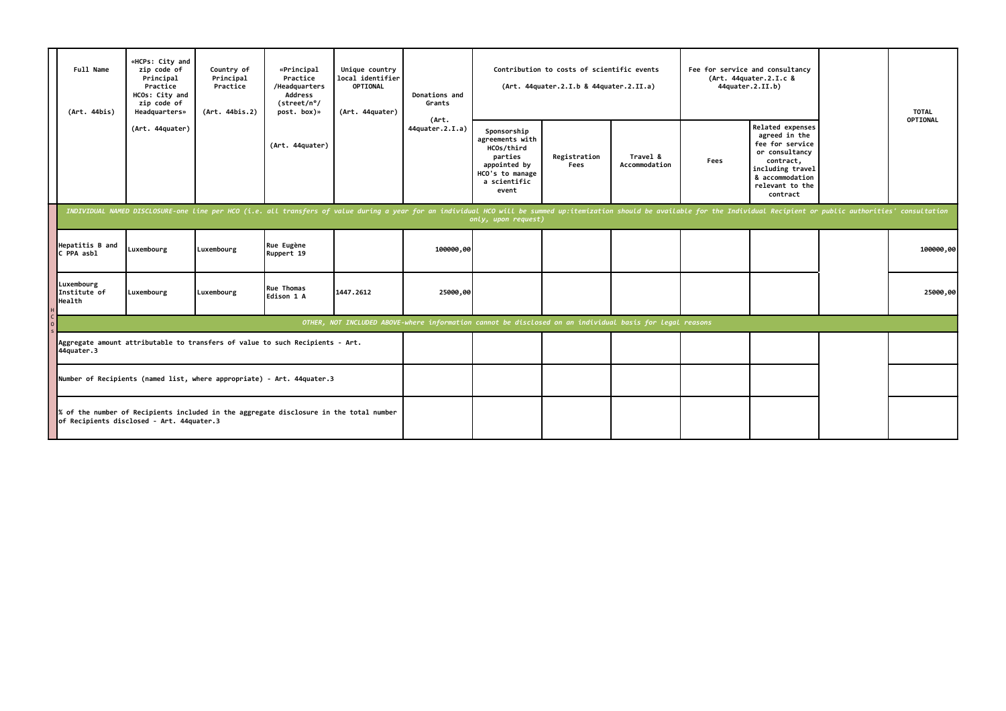|                                                                        | Full Name<br>(Art. 44bis)                                                                                                           | «HCPs: City and<br>zip code of<br>Principal<br>Practice<br>HCOs: City and<br>zip code of<br>Headquarters» | Country of<br>Principal<br>Practice<br>(Art. 44bis.2) | «Principal<br>Practice<br>/Headquarters<br>Address<br>(street/n°/<br>post. box)»                                                                                                                                               | Unique country<br>local identifier<br><b>OPTIONAL</b><br>(Art. 44quater) | Donations and<br>Grants<br>(Art.<br>44quater.2.I.a) | Contribution to costs of scientific events<br>(Art. 44quater.2.I.b & 44quater.2.II.a)                               |                      |                           | Fee for service and consultancy<br>(Art. 44quater.2.I.c &<br>44quater.2.II.b) |                                                                                                                                                                  |  | <b>TOTAL</b> |
|------------------------------------------------------------------------|-------------------------------------------------------------------------------------------------------------------------------------|-----------------------------------------------------------------------------------------------------------|-------------------------------------------------------|--------------------------------------------------------------------------------------------------------------------------------------------------------------------------------------------------------------------------------|--------------------------------------------------------------------------|-----------------------------------------------------|---------------------------------------------------------------------------------------------------------------------|----------------------|---------------------------|-------------------------------------------------------------------------------|------------------------------------------------------------------------------------------------------------------------------------------------------------------|--|--------------|
|                                                                        |                                                                                                                                     | (Art. 44quater)                                                                                           |                                                       | (Art. 44quater)                                                                                                                                                                                                                |                                                                          |                                                     | Sponsorship<br>agreements with<br>HCOs/third<br>parties<br>appointed by<br>HCO's to manage<br>a scientific<br>event | Registration<br>Fees | Travel &<br>Accommodation | Fees                                                                          | <b>Related expenses</b><br>agreed in the<br>fee for service<br>or consultancy<br>contract,<br>including travel<br>& accommodation<br>relevant to the<br>contract |  | OPTIONAL     |
|                                                                        |                                                                                                                                     |                                                                                                           |                                                       | INDIVIDUAL NAMED DISCLOSURE-one line per HCO (i.e. all transfers of value during a year for an individual HCO will be summed up:itemization should be available for the Individual Recipient or public authorities' consultati |                                                                          |                                                     | only, upon request)                                                                                                 |                      |                           |                                                                               |                                                                                                                                                                  |  |              |
|                                                                        | Hepatitis B and<br>C PPA asbl                                                                                                       | Luxembourg                                                                                                | Luxembourg                                            | Rue Eugène<br>Ruppert 19                                                                                                                                                                                                       |                                                                          | 100000,00                                           |                                                                                                                     |                      |                           |                                                                               |                                                                                                                                                                  |  | 100000,00    |
|                                                                        | Luxembourg<br>Institute of<br>Health                                                                                                | Luxembourg                                                                                                | Luxembourg                                            | Rue Thomas<br>Edison 1 A                                                                                                                                                                                                       | 1447.2612                                                                | 25000,00                                            |                                                                                                                     |                      |                           |                                                                               |                                                                                                                                                                  |  | 25000,00     |
|                                                                        | OTHER, NOT INCLUDED ABOVE-where information cannot be disclosed on an individual basis for legal reasons                            |                                                                                                           |                                                       |                                                                                                                                                                                                                                |                                                                          |                                                     |                                                                                                                     |                      |                           |                                                                               |                                                                                                                                                                  |  |              |
|                                                                        | Aggregate amount attributable to transfers of value to such Recipients - Art.<br>44quater.3                                         |                                                                                                           |                                                       |                                                                                                                                                                                                                                |                                                                          |                                                     |                                                                                                                     |                      |                           |                                                                               |                                                                                                                                                                  |  |              |
| Number of Recipients (named list, where appropriate) - Art. 44quater.3 |                                                                                                                                     |                                                                                                           |                                                       |                                                                                                                                                                                                                                |                                                                          |                                                     |                                                                                                                     |                      |                           |                                                                               |                                                                                                                                                                  |  |              |
|                                                                        | % of the number of Recipients included in the aggregate disclosure in the total number<br>of Recipients disclosed - Art. 44quater.3 |                                                                                                           |                                                       |                                                                                                                                                                                                                                |                                                                          |                                                     |                                                                                                                     |                      |                           |                                                                               |                                                                                                                                                                  |  |              |